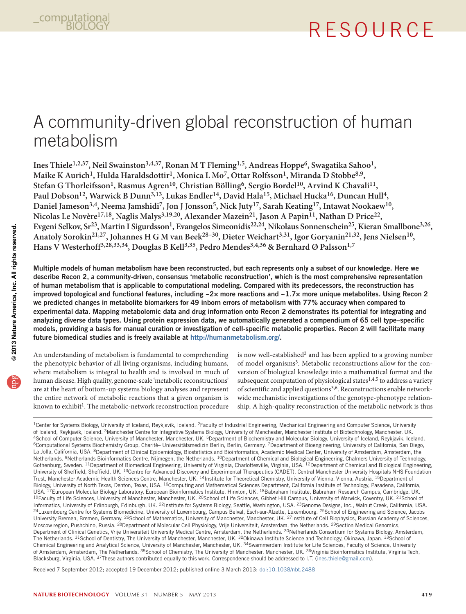# A community-driven global reconstruction of human metabolism

**Ines Thiele1,2,37, Neil Swainston3,4,37, Ronan M T Fleming1,5, Andreas Hoppe<sup>6</sup> , Swagatika Sahoo<sup>1</sup> ,**   $\mathbf{M}$ aike K Aurich<sup>1</sup>, Hulda Haraldsdottir<sup>1</sup>, Monica L Mo<sup>7</sup>, Ottar Rolfsson<sup>1</sup>, Miranda D Stobbe<sup>8,9</sup>, **Stefan G Thorleifsson<sup>1</sup> , Rasmus Agren10, Christian Bölling<sup>6</sup> , Sergio Bordel10, Arvind K Chavali<sup>11</sup> , Paul Dobson12, Warwick B Dunn3,13, Lukas Endler14, David Hala15, Michael Hucka16, Duncan Hull<sup>4</sup> , Daniel Jameson3,4, Neema Jamshidi<sup>7</sup> , Jon J Jonsson<sup>5</sup> , Nick Juty17, Sarah Keating17, Intawat Nookaew<sup>10</sup> , Nicolas Le Novère17,18, Naglis Malys3,19,20, Alexander Mazein21, Jason A Papin11, Nathan D Price<sup>22</sup> ,**  Evgeni Selkov, Sr<sup>23</sup>, Martin I Sigurdsson<sup>1</sup>, Evangelos Simeonidis<sup>22,24</sup>, Nikolaus Sonnenschein<sup>25</sup>, Kieran Smallbone<sup>3,26</sup>, **Anatoly Sorokin21,27, Johannes H G M van Beek28–30, Dieter Weichart3,31, Igor Goryanin21,32, Jens Nielsen<sup>10</sup> , Hans V Westerhoff3,28,33,34, Douglas B Kell3,35, Pedro Mendes3,4,36 & Bernhard Ø Palsson1,7**

Multiple models of human metabolism have been reconstructed, but each represents only a subset of our knowledge. Here we describe Recon 2, a community-driven, consensus 'metabolic reconstruction', which is the most comprehensive representation of human metabolism that is applicable to computational modeling. Compared with its predecessors, the reconstruction has improved topological and functional features, including  $\sim$ 2 $\times$  more reactions and  $\sim$ 1.7 $\times$  more unique metabolites. Using Recon 2 we predicted changes in metabolite biomarkers for 49 inborn errors of metabolism with 77% accuracy when compared to experimental data. Mapping metabolomic data and drug information onto Recon 2 demonstrates its potential for integrating and analyzing diverse data types. Using protein expression data, we automatically generated a compendium of 65 cell type–specific models, providing a basis for manual curation or investigation of cell-specific metabolic properties. Recon 2 will facilitate many future biomedical studies and is freely available at http://humanmetabolism.org/.

An understanding of metabolism is fundamental to comprehending the phenotypic behavior of all living organisms, including humans, where metabolism is integral to health and is involved in much of human disease. High quality, genome-scale 'metabolic reconstructions' are at the heart of bottom-up systems biology analyses and represent the entire network of metabolic reactions that a given organism is known to exhibit<sup>1</sup>. The metabolic-network reconstruction procedure

is now well-established<sup>2</sup> and has been applied to a growing number of model organisms<sup>3</sup>. Metabolic reconstructions allow for the conversion of biological knowledge into a mathematical format and the subsequent computation of physiological states $1,4,5$  to address a variety of scientific and applied questions<sup>3,6</sup>. Reconstructions enable networkwide mechanistic investigations of the genotype-phenotype relationship. A high-quality reconstruction of the metabolic network is thus

<sup>1</sup>Center for Systems Biology, University of Iceland, Reykjavik, Iceland. <sup>2</sup>Faculty of Industrial Engineering, Mechanical Engineering and Computer Science, University of Iceland, Reykjavik, Iceland. 3Manchester Centre for Integrative Systems Biology, University of Manchester, Manchester Institute of Biotechnology, Manchester, UK. 4School of Computer Science, University of Manchester, Manchester, UK. <sup>5</sup>Department of Biochemistry and Molecular Biology, University of Iceland, Reykjavik, Iceland. <sup>6</sup>Computational Systems Biochemistry Group, Charité- Universitätsmedizin Berlin, Germany. <sup>7</sup>Department of Bioengineering, University of California, San Diego, La Jolla, California, USA. <sup>8</sup>Department of Clinical Epidemiology, Biostatistics and Bioinformatics, Academic Medical Center, University of Amsterdam, Amsterdam, the Netherlands. 9Netherlands Bioinformatics Centre, Nijmegen, the Netherlands. 10Department of Chemical and Biological Engineering, Chalmers University of Technology, Gothenburg, Sweden. <sup>11</sup> Department of Biomedical Engineering, University of Virginia, Charlottesville, Virginia, USA. <sup>12</sup> Department of Chemical and Biological Engineering, University of Sheffield, Sheffield, UK. <sup>13</sup>Centre for Advanced Discovery and Experimental Therapeutics (CADET), Central Manchester University Hospitals NHS Foundation Trust, Manchester Academic Health Sciences Centre, Manchester, UK. <sup>14</sup>Institute for Theoretical Chemistry, University of Vienna, Vienna, Austria. <sup>15</sup>Department of Biology, University of North Texas, Denton, Texas, USA. <sup>16</sup>Computing and Mathematical Sciences Department, California Institute of Technology, Pasadena, California, USA. <sup>17</sup>European Molecular Biology Laboratory, European Bioinformatics Institute, Hinxton, UK. <sup>18</sup>Babraham Institute, Babraham Research Campus, Cambridge, UK. <sup>19</sup>Faculty of Life Sciences, University of Manchester, Manchester, UK. <sup>20</sup>School of Life Sciences, Gibbet Hill Campus, University of Warwick, Coventry, UK. <sup>21</sup>School of Informatics, University of Edinburgh, Edinburgh, UK. <sup>22</sup>Institute for Systems Biology, Seattle, Washington, USA. <sup>23</sup>Genome Designs, Inc., Walnut Creek, California, USA. <sup>24</sup>Luxembourg Centre for Systems Biomedicine, University of Luxembourg, Campus Belval, Esch-sur-Alzette, Luxembourg. <sup>25</sup>School of Engineering and Science, Jacobs University Bremen, Bremen, Germany. <sup>26</sup>School of Mathematics, University of Manchester, Manchester, UK. <sup>27</sup>Institute of Cell Biophysics, Russian Academy of Sciences, Moscow region, Pushchino, Russia. <sup>28</sup>Department of Molecular Cell Physiology, Vrije Universiteit, Amsterdam, the Netherlands. <sup>29</sup>Section Medical Genomics, Department of Clinical Genetics, Vrije Universiteit University Medical Centre, Amsterdam, the Netherlands. <sup>30</sup>Netherlands Consortium for Systems Biology, Amsterdam, The Netherlands. 31School of Dentistry, The University of Manchester, Manchester, UK. 32Okinawa Institute Science and Technology, Okinawa, Japan. 33School of Chemical Engineering and Analytical Science, University of Manchester, Manchester, UK. <sup>34</sup>Swammerdam Institute for Life Sciences, Faculty of Science, University of Amsterdam, Amsterdam, The Netherlands. <sup>35</sup>School of Chemistry, The University of Manchester, Manchester, UK. <sup>36</sup>Virginia Bioinformatics Institute, Virginia Tech, Blacksburg, Virginia, USA. 37These authors contributed equally to this work. Correspondence should be addressed to I.T. (ines.thiele@gmail.com). From this interaction is the state of the methods increased simulation with the Netherland September 2012; and the state of the state of the state of the state of the state of the state of the state of the state of the sta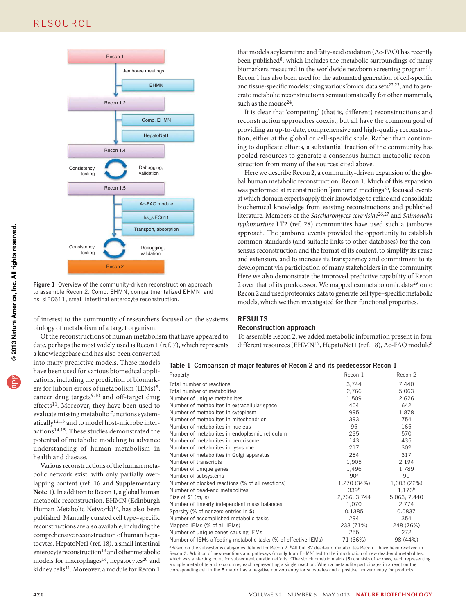

Figure 1 Overview of the community-driven reconstruction approach to assemble Recon 2. Comp. EHMN, compartmentalized EHMN; and hs\_sIEC611, small intestinal enterocyte reconstruction.

that models acylcarnitine and fatty-acid oxidation (Ac-FAO) has recently been published<sup>8</sup>, which includes the metabolic surroundings of many biomarkers measured in the worldwide newborn screening program<sup>21</sup>. Recon 1 has also been used for the automated generation of cell-specific and tissue-specific models using various 'omics' data sets<sup>22,23</sup>, and to generate metabolic reconstructions semiautomatically for other mammals, such as the mouse<sup>24</sup>.

It is clear that 'competing' (that is, different) reconstructions and reconstruction approaches coexist, but all have the common goal of providing an up-to-date, comprehensive and high-quality reconstruction, either at the global or cell-specific scale. Rather than continuing to duplicate efforts, a substantial fraction of the community has pooled resources to generate a consensus human metabolic reconstruction from many of the sources cited above.

Here we describe Recon 2, a community-driven expansion of the global human metabolic reconstruction, Recon 1. Much of this expansion was performed at reconstruction 'jamboree' meetings<sup>25</sup>, focused events at which domain experts apply their knowledge to refine and consolidate biochemical knowledge from existing reconstructions and published literature. Members of the *Saccharomyces cerevisiae*26,27 and *Salmonella typhimurium* LT2 (ref. 28) communities have used such a jamboree approach. The jamboree events provided the opportunity to establish common standards (and suitable links to other databases) for the consensus reconstruction and the format of its content, to simplify its reuse and extension, and to increase its transparency and commitment to its development via participation of many stakeholders in the community. Here we also demonstrate the improved predictive capability of Recon 2 over that of its predecessor. We mapped exometabolomic data29 onto Recon 2 and used proteomics data to generate cell type–specific metabolic models, which we then investigated for their functional properties.

#### RESULTS Reconstruction approach

|  |  |  |  | Table 1 Comparison of major features of Recon 2 and its predecessor Recon 1 |
|--|--|--|--|-----------------------------------------------------------------------------|
|--|--|--|--|-----------------------------------------------------------------------------|

| Transport, absorption<br>Consistency<br>Debugging,<br>testing<br>validation<br>Recon <sub>2</sub><br>Figure 1 Overview of the community-driven reconstruction approach<br>to assemble Recon 2. Comp. EHMN, compartmentalized EHMN; and<br>hs_sIEC611, small intestinal enterocyte reconstruction. |                                                                                                       | approach. The jamboree events provided the opportunity to establish<br>common standards (and suitable links to other databases) for the con-<br>sensus reconstruction and the format of its content, to simplify its reuse<br>and extension, and to increase its transparency and commitment to its<br>development via participation of many stakeholders in the community.<br>Here we also demonstrate the improved predictive capability of Recon<br>2 over that of its predecessor. We mapped exometabolomic data <sup>29</sup> onto<br>Recon 2 and used proteomics data to generate cell type-specific metabolic<br>models, which we then investigated for their functional properties. |                                 |                                   |
|---------------------------------------------------------------------------------------------------------------------------------------------------------------------------------------------------------------------------------------------------------------------------------------------------|-------------------------------------------------------------------------------------------------------|---------------------------------------------------------------------------------------------------------------------------------------------------------------------------------------------------------------------------------------------------------------------------------------------------------------------------------------------------------------------------------------------------------------------------------------------------------------------------------------------------------------------------------------------------------------------------------------------------------------------------------------------------------------------------------------------|---------------------------------|-----------------------------------|
| of interest to the community of researchers focused on the systems                                                                                                                                                                                                                                |                                                                                                       | <b>RESULTS</b>                                                                                                                                                                                                                                                                                                                                                                                                                                                                                                                                                                                                                                                                              |                                 |                                   |
| biology of metabolism of a target organism.                                                                                                                                                                                                                                                       | <b>Reconstruction approach</b><br>To assemble Recon 2, we added metabolic information present in four |                                                                                                                                                                                                                                                                                                                                                                                                                                                                                                                                                                                                                                                                                             |                                 |                                   |
| Of the reconstructions of human metabolism that have appeared to                                                                                                                                                                                                                                  |                                                                                                       |                                                                                                                                                                                                                                                                                                                                                                                                                                                                                                                                                                                                                                                                                             |                                 |                                   |
| date, perhaps the most widely used is Recon 1 (ref. 7), which represents                                                                                                                                                                                                                          |                                                                                                       | different resources (EHMN <sup>17</sup> , HepatoNet1 (ref. 18), Ac-FAO module <sup>8</sup>                                                                                                                                                                                                                                                                                                                                                                                                                                                                                                                                                                                                  |                                 |                                   |
| a knowledgebase and has also been converted                                                                                                                                                                                                                                                       |                                                                                                       |                                                                                                                                                                                                                                                                                                                                                                                                                                                                                                                                                                                                                                                                                             |                                 |                                   |
| into many predictive models. These models                                                                                                                                                                                                                                                         |                                                                                                       | Table 1 Comparison of major features of Recon 2 and its predecessor Recon 1                                                                                                                                                                                                                                                                                                                                                                                                                                                                                                                                                                                                                 |                                 |                                   |
| have been used for various biomedical appli-                                                                                                                                                                                                                                                      | Property                                                                                              |                                                                                                                                                                                                                                                                                                                                                                                                                                                                                                                                                                                                                                                                                             | Recon 1                         | Recon 2                           |
| cations, including the prediction of biomark-                                                                                                                                                                                                                                                     | Total number of reactions                                                                             |                                                                                                                                                                                                                                                                                                                                                                                                                                                                                                                                                                                                                                                                                             | 3,744                           | 7,440                             |
| ers for inborn errors of metabolism (IEMs) <sup>8</sup> ,                                                                                                                                                                                                                                         | Total number of metabolites                                                                           |                                                                                                                                                                                                                                                                                                                                                                                                                                                                                                                                                                                                                                                                                             | 2,766                           | 5,063                             |
| cancer drug targets <sup>9,10</sup> and off-target drug                                                                                                                                                                                                                                           | Number of unique metabolites                                                                          |                                                                                                                                                                                                                                                                                                                                                                                                                                                                                                                                                                                                                                                                                             | 1,509                           | 2,626                             |
| effects <sup>11</sup> . Moreover, they have been used to                                                                                                                                                                                                                                          | Number of metabolites in extracellular space                                                          |                                                                                                                                                                                                                                                                                                                                                                                                                                                                                                                                                                                                                                                                                             | 404                             | 642                               |
| evaluate missing metabolic functions system-                                                                                                                                                                                                                                                      | Number of metabolites in cytoplasm                                                                    |                                                                                                                                                                                                                                                                                                                                                                                                                                                                                                                                                                                                                                                                                             | 995                             | 1,878                             |
| atically <sup>12,13</sup> and to model host-microbe inter-                                                                                                                                                                                                                                        | Number of metabolites in mitochondrion                                                                |                                                                                                                                                                                                                                                                                                                                                                                                                                                                                                                                                                                                                                                                                             | 393                             | 754                               |
|                                                                                                                                                                                                                                                                                                   | Number of metabolites in nucleus                                                                      |                                                                                                                                                                                                                                                                                                                                                                                                                                                                                                                                                                                                                                                                                             | 95                              | 165                               |
| actions <sup>14,15</sup> . These studies demonstrated the                                                                                                                                                                                                                                         | Number of metabolites in endoplasmic reticulum                                                        |                                                                                                                                                                                                                                                                                                                                                                                                                                                                                                                                                                                                                                                                                             | 235                             | 570                               |
| potential of metabolic modeling to advance                                                                                                                                                                                                                                                        | Number of metabolites in peroxisome                                                                   |                                                                                                                                                                                                                                                                                                                                                                                                                                                                                                                                                                                                                                                                                             | 143                             | 435                               |
| understanding of human metabolism in                                                                                                                                                                                                                                                              | Number of metabolites in lysosome                                                                     |                                                                                                                                                                                                                                                                                                                                                                                                                                                                                                                                                                                                                                                                                             | 217                             | 302                               |
| health and disease.                                                                                                                                                                                                                                                                               | Number of metabolites in Golgi apparatus                                                              |                                                                                                                                                                                                                                                                                                                                                                                                                                                                                                                                                                                                                                                                                             | 284                             | 317                               |
| Various reconstructions of the human meta-                                                                                                                                                                                                                                                        | Number of transcripts                                                                                 |                                                                                                                                                                                                                                                                                                                                                                                                                                                                                                                                                                                                                                                                                             | 1,905                           | 2,194                             |
| bolic network exist, with only partially over-                                                                                                                                                                                                                                                    | Number of unique genes                                                                                |                                                                                                                                                                                                                                                                                                                                                                                                                                                                                                                                                                                                                                                                                             | 1,496                           | 1,789                             |
|                                                                                                                                                                                                                                                                                                   | Number of subsystems                                                                                  |                                                                                                                                                                                                                                                                                                                                                                                                                                                                                                                                                                                                                                                                                             | 90 <sup>a</sup>                 | 99                                |
| lapping content (ref. 16 and Supplementary                                                                                                                                                                                                                                                        | Number of blocked reactions (% of all reactions)<br>Number of dead-end metabolites                    |                                                                                                                                                                                                                                                                                                                                                                                                                                                                                                                                                                                                                                                                                             | 1,270 (34%)<br>339 <sup>b</sup> | 1,603 (22%)<br>1,176 <sup>b</sup> |
| Note 1). In addition to Recon 1, a global human                                                                                                                                                                                                                                                   | Size of $S^c$ ( <i>m</i> ; <i>n</i> )                                                                 |                                                                                                                                                                                                                                                                                                                                                                                                                                                                                                                                                                                                                                                                                             | 2,766; 3,744                    | 5,063; 7,440                      |
| metabolic reconstruction, EHMN (Edinburgh                                                                                                                                                                                                                                                         | Number of linearly independent mass balances                                                          |                                                                                                                                                                                                                                                                                                                                                                                                                                                                                                                                                                                                                                                                                             | 1,070                           | 2,774                             |
| Human Metabolic Network) <sup>17</sup> , has also been                                                                                                                                                                                                                                            | Sparsity (% of nonzero entries in S)                                                                  |                                                                                                                                                                                                                                                                                                                                                                                                                                                                                                                                                                                                                                                                                             | 0.1385                          | 0.0837                            |
| published. Manually curated cell type-specific                                                                                                                                                                                                                                                    | Number of accomplished metabolic tasks                                                                |                                                                                                                                                                                                                                                                                                                                                                                                                                                                                                                                                                                                                                                                                             | 294                             | 354                               |
| reconstructions are also available, including the                                                                                                                                                                                                                                                 | Mapped IEMs (% of all IEMs)                                                                           |                                                                                                                                                                                                                                                                                                                                                                                                                                                                                                                                                                                                                                                                                             | 233 (71%)                       | 248 (76%)                         |
| comprehensive reconstruction of human hepa-                                                                                                                                                                                                                                                       | Number of unique genes causing IEMs                                                                   |                                                                                                                                                                                                                                                                                                                                                                                                                                                                                                                                                                                                                                                                                             | 255                             | 272                               |
|                                                                                                                                                                                                                                                                                                   | Number of IEMs affecting metabolic tasks (% of effective IEMs)                                        |                                                                                                                                                                                                                                                                                                                                                                                                                                                                                                                                                                                                                                                                                             | 71 (36%)                        | 98 (44%)                          |
| tocytes, HepatoNet1 (ref. 18), a small intestinal<br>enterocyte reconstruction <sup>19</sup> and other metabolic<br>models for macrophages <sup>14</sup> , hepatocytes <sup>20</sup> and<br>kidney cells <sup>11</sup> . Moreover, a module for Recon 1                                           |                                                                                                       | aBased on the subsystems categories defined for Recon 2. bAll but 32 dead-end metabolites Recon 1 have been resolved in<br>Recon 2. Addition of new reactions and pathways (mostly from EHMN) led to the introduction of new dead-end metabolites,<br>which was a starting point for subsequent curation efforts. "The stoichiometric matrix (S) consists of m rows, each representing<br>a single metabolite and n columns, each representing a single reaction. When a metabolite participates in a reaction the<br>corresponding cell in the S matrix has a negative nonzero entry for substrates and a positive nonzero entry for products.                                             |                                 |                                   |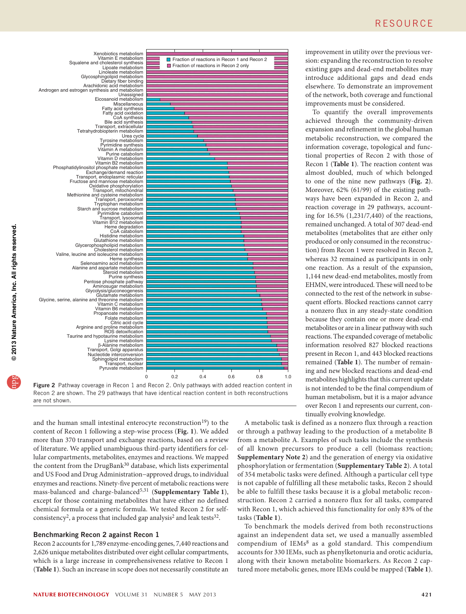# **RESOURCE**



Figure 2 Pathway coverage in Recon 1 and Recon 2. Only pathways with added reaction content in Recon 2 are shown. The 29 pathways that have identical reaction content in both reconstructions are not shown.

and the human small intestinal enterocyte reconstruction<sup>19</sup>) to the content of Recon 1 following a step-wise process (**Fig. 1**). We added more than 370 transport and exchange reactions, based on a review of literature. We applied unambiguous third-party identifiers for cellular compartments, metabolites, enzymes and reactions. We mapped the content from the DrugBank<sup>30</sup> database, which lists experimental and US Food and Drug Administration−approved drugs, to individual enzymes and reactions. Ninety-five percent of metabolic reactions were mass-balanced and charge-balanced5,31 (**Supplementary Table 1**), except for those containing metabolites that have either no defined chemical formula or a generic formula. We tested Recon 2 for self consistency<sup>2</sup>, a process that included gap analysis<sup>2</sup> and leak tests<sup>32</sup>.

## Benchmarking Recon 2 against Recon 1

Recon 2 accounts for 1,789 enzyme-encoding genes, 7,440 reactions and 2,626 unique metabolites distributed over eight cellular compartments, which is a large increase in comprehensiveness relative to Recon 1 (**Table 1**). Such an increase in scope does not necessarily constitute an

improvement in utility over the previous version: expanding the reconstruction to resolve existing gaps and dead-end metabolites may introduce additional gaps and dead ends elsewhere. To demonstrate an improvement of the network, both coverage and functional improvements must be considered.

To quantify the overall improvements achieved through the community-driven expansion and refinement in the global human metabolic reconstruction, we compared the information coverage, topological and functional properties of Recon 2 with those of Recon 1 (**Table 1**). The reaction content was almost doubled, much of which belonged to one of the nine new pathways (**Fig. 2**). Moreover, 62% (61/99) of the existing pathways have been expanded in Recon 2, and reaction coverage in 29 pathways, accounting for 16.5% (1,231/7,440) of the reactions, remained unchanged. A total of 307 dead-end metabolites (metabolites that are either only produced or only consumed in the reconstruction) from Recon 1 were resolved in Recon 2, whereas 32 remained as participants in only one reaction. As a result of the expansion, 1,144 new dead-end metabolites, mostly from EHMN, were introduced. These will need to be connected to the rest of the network in subsequent efforts. Blocked reactions cannot carry a nonzero flux in any steady-state condition because they contain one or more dead-end metabolites or are in a linear pathway with such reactions. The expanded coverage of metabolic information resolved 827 blocked reactions present in Recon 1, and 443 blocked reactions remained (**Table 1**). The number of remaining and new blocked reactions and dead-end metabolites highlights that this current update is not intended to be the final compendium of human metabolism, but it is a major advance over Recon 1 and represents our current, continually evolving knowledge.

A metabolic task is defined as a nonzero flux through a reaction or through a pathway leading to the production of a metabolite B from a metabolite A. Examples of such tasks include the synthesis of all known precursors to produce a cell (biomass reaction; **Supplementary Note 2**) and the generation of energy via oxidative phosphorylation or fermentation (**Supplementary Table 2**). A total of 354 metabolic tasks were defined. Although a particular cell type is not capable of fulfilling all these metabolic tasks, Recon 2 should be able to fulfill these tasks because it is a global metabolic reconstruction. Recon 2 carried a nonzero flux for all tasks, compared with Recon 1, which achieved this functionality for only 83% of the tasks (**Table 1**).

To benchmark the models derived from both reconstructions against an independent data set, we used a manually assembled compendium of IEMs<sup>8</sup> as a gold standard. This compendium accounts for 330 IEMs, such as phenylketonuria and orotic aciduria, along with their known metabolite biomarkers. As Recon 2 captured more metabolic genes, more IEMs could be mapped (**Table 1**).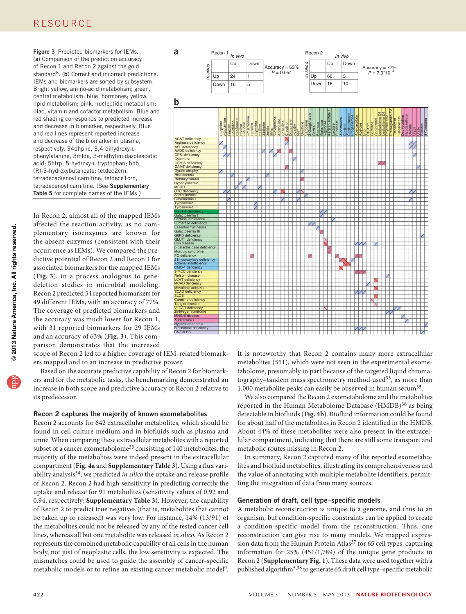# **RESOURCE**

Figure 3 Predicted biomarkers for IEMs. (a) Comparison of the prediction accuracy of Recon 1 and Recon 2 against the gold standard<sup>8</sup>. (b) Correct and incorrect predictions. IEMs and biomarkers are sorted by subsystem. Bright yellow, amino-acid metabolism; green, central metabolism; blue, hormones; yellow, lipid metabolism; pink, nucleotide metabolism; lilac, vitamin and cofactor metabolism. Blue and red shading corresponds to predicted increase and decrease in biomarker, respectively. Blue and red lines represent reported increase and decrease of the biomarker in plasma, respectively. 34dhphe, 3,4-dihydroxy-Lphenylalanine; 3mlda, 3-methylimidazoleacetic acid; 5htrp, 5-hydroxy-L-tryptophan; bhb, (R)-3-hydroxybutanoate; tetdec2crn, tetradecadienoyl carnitine; tetdece1crn, tetradecenoyl carnitine. (See Supplementary Table 5 for complete names of the IEMs.)

In Recon 2, almost all of the mapped IEMs affected the reaction activity, as no complementary isoenzymes are known for the absent enzymes (consistent with their occurrence as IEMs). We compared the predictive potential of Recon 2 and Recon 1 for associated biomarkers for the mapped IEMs (**Fig. 3**), in a process analogous to gene deletion studies in microbial modeling. Recon 2 predicted 54 reported biomarkers for 49 different IEMs, with an accuracy of 77%. The coverage of predicted biomarkers and the accuracy was much lower for Recon 1, with 31 reported biomarkers for 29 IEMs and an accuracy of 63% (**Fig. 3**). This comparison demonstrates that the increased

scope of Recon 2 led to a higher coverage of IEM-related biomarkers mapped and to an increase in predictive power.

Based on the accurate predictive capability of Recon 2 for biomarkers and for the metabolic tasks, the benchmarking demonstrated an increase in both scope and predictive accuracy of Recon 2 relative to its predecessor.

### Recon 2 captures the majority of known exometabolites

Recon 2 accounts for 642 extracellular metabolites, which should be found in cell culture medium and in biofluids such as plasma and urine. When comparing these extracellular metabolites with a reported subset of a cancer exometabolome<sup>33</sup> consisting of 140 metabolites, the majority of the metabolites were indeed present in the extracellular compartment (**Fig. 4a** and **Supplementary Table 3**). Using a flux variability analysis<sup>34</sup>, we predicted *in silico* the uptake and release profile of Recon 2. Recon 2 had high sensitivity in predicting correctly the uptake and release for 91 metabolites (sensitivity values of 0.92 and 0.94, respectively; **Supplementary Table 3**). However, the capability of Recon 2 to predict true negatives (that is, metabolites that cannot be taken up or released) was very low. For instance, 14% (13/91) of the metabolites could not be released by any of the tested cancer cell lines, whereas all but one metabolite was released *in silico.* As Recon 2 represents the combined metabolic capability of all cells in the human body, not just of neoplastic cells, the low sensitivity is expected. The mismatches could be used to guide the assembly of cancer-specific metabolic models or to refine an existing cancer metabolic model<sup>9</sup>.



It is noteworthy that Recon 2 contains many more extracellular metabolites (551), which were not seen in the experimental exometabolome, presumably in part because of the targeted liquid chromatography–tandem mass spectrometry method used<sup>33</sup>, as more than 1,000 metabolite peaks can easily be observed in human serum<sup>35</sup>.

We also compared the Recon 2 exometabolome and the metabolites reported in the Human Metabolome Database (HMDB)<sup>36</sup> as being detectable in biofluids (**Fig. 4b**). Biofluid information could be found for about half of the metabolites in Recon 2 identified in the HMDB. About 44% of these metabolites were also present in the extracellular compartment, indicating that there are still some transport and metabolic routes missing in Recon 2.

In summary, Recon 2 captured many of the reported exometabolites and biofluid metabolites, illustrating its comprehensiveness and the value of annotating with multiple metabolite identifiers, permitting the integration of data from many sources.

#### Generation of draft, cell type–specific models

A metabolic reconstruction is unique to a genome, and thus to an organism, but condition-specific constraints can be applied to create a condition-specific model from the reconstruction. Thus, one reconstruction can give rise to many models. We mapped expression data from the Human Protein Atlas<sup>37</sup> for 65 cell types, capturing information for 25% (451/1,789) of the unique gene products in Recon 2 (**Supplementary Fig. 1**). These data were used together with a published algorithm<sup>5,38</sup> to generate 65 draft cell type-specific metabolic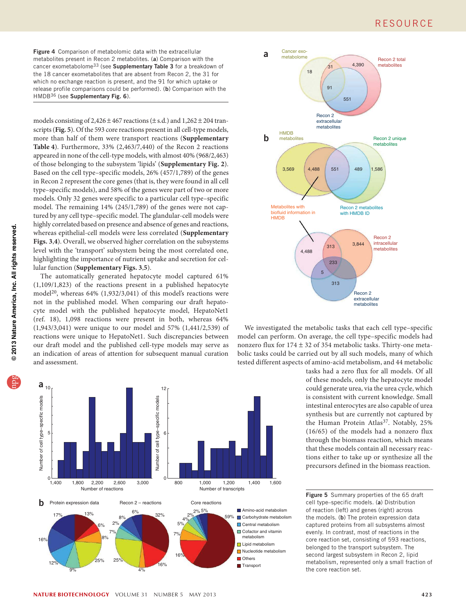# **RESOURCE**

Figure 4 Comparison of metabolomic data with the extracellular metabolites present in Recon 2 metabolites. (a) Comparison with the cancer exometabolome33 (see Supplementary Table 3 for a breakdown of the 18 cancer exometabolites that are absent from Recon 2, the 31 for which no exchange reaction is present, and the 91 for which uptake or release profile comparisons could be performed). (b) Comparison with the HMDB<sup>36</sup> (see Supplementary Fig. 6).

models consisting of  $2,426 \pm 467$  reactions ( $\pm$  s.d.) and  $1,262 \pm 204$  transcripts (**Fig. 5**). Of the 593 core reactions present in all cell-type models, more than half of them were transport reactions (**Supplementary Table 4**). Furthermore, 33% (2,463/7,440) of the Recon 2 reactions appeared in none of the cell-type models, with almost 40% (968/2,463) of those belonging to the subsystem 'lipids' (**Supplementary Fig. 2**). Based on the cell type–specific models, 26% (457/1,789) of the genes in Recon 2 represent the core genes (that is, they were found in all cell type–specific models), and 58% of the genes were part of two or more models. Only 32 genes were specific to a particular cell type–specific model. The remaining 14% (245/1,789) of the genes were not captured by any cell type–specific model. The glandular-cell models were highly correlated based on presence and absence of genes and reactions, whereas epithelial-cell models were less correlated (**Supplementary Figs. 3**,**4**). Overall, we observed higher correlation on the subsystems level with the 'transport' subsystem being the most correlated one, highlighting the importance of nutrient uptake and secretion for cellular function (**Supplementary Figs. 3**,**5**).

The automatically generated hepatocyte model captured 61% (1,109/1,823) of the reactions present in a published hepatocyte model<sup>20</sup>, whereas 64%  $(1,932/3,041)$  of this model's reactions were not in the published model. When comparing our draft hepatocyte model with the published hepatocyte model, HepatoNet1 (ref. 18), 1,098 reactions were present in both, whereas 64% (1,943/3,041) were unique to our model and 57% (1,441/2,539) of reactions were unique to HepatoNet1. Such discrepancies between our draft model and the published cell-type models may serve as an indication of areas of attention for subsequent manual curation and assessment.





We investigated the metabolic tasks that each cell type–specific model can perform. On average, the cell type–specific models had nonzero flux for  $174 \pm 32$  of 354 metabolic tasks. Thirty-one metabolic tasks could be carried out by all such models, many of which tested different aspects of amino-acid metabolism, and 44 metabolic

> tasks had a zero flux for all models. Of all of these models, only the hepatocyte model could generate urea, via the urea cycle, which is consistent with current knowledge. Small intestinal enterocytes are also capable of urea synthesis but are currently not captured by the Human Protein Atlas<sup>37</sup>. Notably, 25% (16/65) of the models had a nonzero flux through the biomass reaction, which means that these models contain all necessary reactions either to take up or synthesize all the precursors defined in the biomass reaction.

> Figure 5 Summary properties of the 65 draft cell type–specific models. (a) Distribution of reaction (left) and genes (right) across the models. (b) The protein expression data captured proteins from all subsystems almost evenly. In contrast, most of reactions in the core reaction set, consisting of 593 reactions, belonged to the transport subsystem. The second largest subsystem in Recon 2, lipid metabolism, represented only a small fraction of the core reaction set.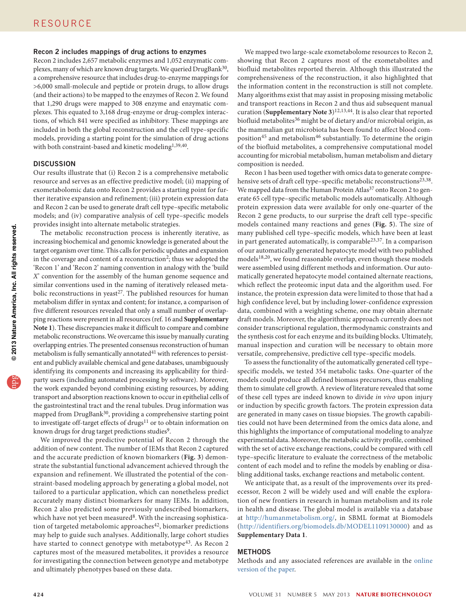### Recon 2 includes mappings of drug actions to enzymes

Recon 2 includes 2,657 metabolic enzymes and 1,052 enzymatic complexes, many of which are known drug targets. We queried DrugBank<sup>30</sup>, a comprehensive resource that includes drug-to-enzyme mappings for >6,000 small-molecule and peptide or protein drugs, to allow drugs (and their actions) to be mapped to the enzymes of Recon 2. We found that 1,290 drugs were mapped to 308 enzyme and enzymatic complexes. This equated to 3,168 drug-enzyme or drug-complex interactions, of which 841 were specified as inhibitory. These mappings are included in both the global reconstruction and the cell type–specific models, providing a starting point for the simulation of drug actions with both constraint-based and kinetic modeling<sup>1,39,40</sup>.

#### **DISCUSSION**

Our results illustrate that (i) Recon 2 is a comprehensive metabolic resource and serves as an effective predictive model; (ii) mapping of exometabolomic data onto Recon 2 provides a starting point for further iterative expansion and refinement; (iii) protein expression data and Recon 2 can be used to generate draft cell type–specific metabolic models; and (iv) comparative analysis of cell type–specific models provides insight into alternate metabolic strategies.

The metabolic reconstruction process is inherently iterative, as increasing biochemical and genomic knowledge is generated about the target organism over time. This calls for periodic updates and expansion in the coverage and content of a reconstruction<sup>2</sup>; thus we adopted the 'Recon 1' and 'Recon 2' naming convention in analogy with the 'build *X*' convention for the assembly of the human genome sequence and similar conventions used in the naming of iteratively released metabolic reconstructions in yeast<sup>27</sup>. The published resources for human metabolism differ in syntax and content; for instance, a comparison of five different resources revealed that only a small number of overlapping reactions were present in all resources (ref. 16 and **Supplementary Note 1**). These discrepancies make it difficult to compare and combine metabolic reconstructions. We overcame this issue by manually curating overlapping entries. The presented consensus reconstruction of human metabolism is fully semantically annotated $41$  with references to persistent and publicly available chemical and gene databases, unambiguously identifying its components and increasing its applicability for thirdparty users (including automated processing by software). Moreover, the work expanded beyond combining existing resources, by adding transport and absorption reactions known to occur in epithelial cells of the gastrointestinal tract and the renal tubules. Drug information was mapped from DrugBank30, providing a comprehensive starting point to investigate off-target effects of drugs $^{11}$  or to obtain information on known drugs for drug target predictions studies<sup>9</sup>.

We improved the predictive potential of Recon 2 through the addition of new content. The number of IEMs that Recon 2 captured and the accurate prediction of known biomarkers (**Fig. 3**) demonstrate the substantial functional advancement achieved through the expansion and refinement. We illustrated the potential of the constraint-based modeling approach by generating a global model, not tailored to a particular application, which can nonetheless predict accurately many distinct biomarkers for many IEMs. In addition, Recon 2 also predicted some previously undescribed biomarkers, which have not yet been measured<sup>8</sup>. With the increasing sophistication of targeted metabolomic approaches<sup>42</sup>, biomarker predictions may help to guide such analyses. Additionally, large cohort studies have started to connect genotype with metabotype<sup>43</sup>. As Recon 2 captures most of the measured metabolites, it provides a resource for investigating the connection between genotype and metabotype and ultimately phenotypes based on these data.

We mapped two large-scale exometabolome resources to Recon 2, showing that Recon 2 captures most of the exometabolites and biofluid metabolites reported therein. Although this illustrated the comprehensiveness of the reconstruction, it also highlighted that the information content in the reconstruction is still not complete. Many algorithms exist that may assist in proposing missing metabolic and transport reactions in Recon 2 and thus aid subsequent manual curation (**Supplementary Note 3**) 12,13,44. It is also clear that reported biofluid metabolites<sup>36</sup> might be of dietary and/or microbial origin, as the mammalian gut microbiota has been found to affect blood composition45 and metabolism46 substantially. To determine the origin of the biofluid metabolites, a comprehensive computational model accounting for microbial metabolism, human metabolism and dietary composition is needed.

Recon 1 has been used together with omics data to generate comprehensive sets of draft cell type-specific metabolic reconstructions<sup>23,38</sup>. We mapped data from the Human Protein Atlas<sup>37</sup> onto Recon 2 to generate 65 cell type–specific metabolic models automatically. Although protein expression data were available for only one-quarter of the Recon 2 gene products, to our surprise the draft cell type–specific models contained many reactions and genes (**Fig. 5**). The size of many published cell type–specific models, which have been at least in part generated automatically, is comparable<sup>23,37</sup>. In a comparison of our automatically generated hepatocyte model with two published models<sup>18,20</sup>, we found reasonable overlap, even though these models were assembled using different methods and information. Our automatically generated hepatocyte model contained alternate reactions, which reflect the proteomic input data and the algorithm used. For instance, the protein expression data were limited to those that had a high confidence level, but by including lower-confidence expression data, combined with a weighting scheme, one may obtain alternate draft models. Moreover, the algorithmic approach currently does not consider transcriptional regulation, thermodynamic constraints and the synthesis cost for each enzyme and its building blocks. Ultimately, manual inspection and curation will be necessary to obtain more versatile, comprehensive, predictive cell type–specific models.

To assess the functionality of the automatically generated cell type– specific models, we tested 354 metabolic tasks. One-quarter of the models could produce all defined biomass precursors, thus enabling them to simulate cell growth. A review of literature revealed that some of these cell types are indeed known to divide *in vivo* upon injury or induction by specific growth factors. The protein expression data are generated in many cases on tissue biopsies. The growth capabilities could not have been determined from the omics data alone, and this highlights the importance of computational modeling to analyze experimental data. Moreover, the metabolic activity profile, combined with the set of active exchange reactions, could be compared with cell type–specific literature to evaluate the correctness of the metabolic content of each model and to refine the models by enabling or disabling additional tasks, exchange reactions and metabolic content.

We anticipate that, as a result of the improvements over its predecessor, Recon 2 will be widely used and will enable the exploration of new frontiers in research in human metabolism and its role in health and disease. The global model is available via a database at http://humanmetabolism.org/, in SBML format at Biomodels (http://identifiers.org/biomodels.db/MODEL1109130000) and as **Supplementary Data 1**.

## **METHODS**

Methods and any associated references are available in the online version of the paper.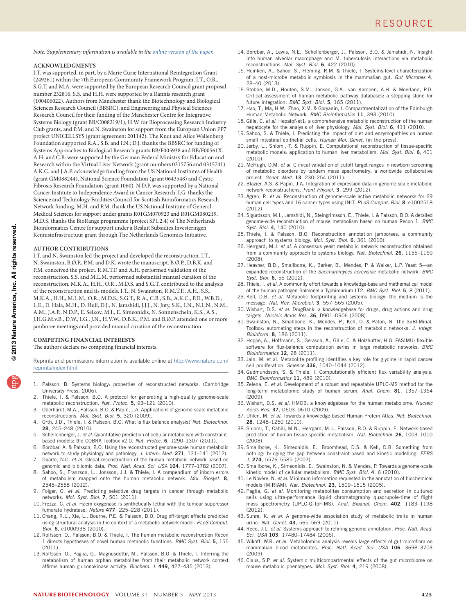*Note: Supplementary information is available in the online version of the paper.*

## **ACKNOWLEDGMENTS**

I.T. was supported, in part, by a Marie Curie International Reintegration Grant (249261) within the 7th European Community Framework Program. I.T., O.R., S.G.T. and M.A. were supported by the European Research Council grant proposal number 232816. S.S. and H.H. were supported by a Rannis research grant (100406022). Authors from Manchester thank the Biotechnology and Biological Sciences Research Council (BBSRC), and Engineering and Physical Sciences Research Council for their funding of the Manchester Centre for Integrative Systems Biology (grant BB/C008219/1), H.W. for Bioprocessing Research Industry Club grants, and P.M. and N. Swainston for support from the European Union FP7 project UNICELLSYS (grant agreement 201142). The Knut and Alice Wallenberg Foundation supported R.A., S.B. and I.N.; D.J. thanks the BBSRC for funding of Systems Approaches to Biological Research grants BB/F005938 and BB/F00561X. A.H. and C.B. were supported by the German Federal Ministry for Education and Research within the Virtual Liver Network (grant numbers 0315756 and 0315741). A.K.C. and J.A.P. acknowledge funding from the US National Institutes of Health (grant GM088244), National Science Foundation (grant 0643548) and Cystic Fibrosis Research Foundation (grant 1060). N.D.P. was supported by a National Cancer Institute to Independence Award in Cancer Research. I.G. thanks the Science and Technology Facilities Council for Scottish Bioinformatics Research Network funding. M.H. and P.M. thank the US National Institute of General Medical Sciences for support under grants R01GM070923 and R01GM080219. M.D.S. thanks the BioRange programme (project SP1.2.4) of The Netherlands Bioinformatics Centre for support under a Besluit Subsidies Investeringen Kennisinfrastructuur grant through The Netherlands Genomics Initiative.

#### **AUTHOR CONTRIBUTIONS**

I.T. and N. Swainston led the project and developed the reconstruction. I.T., N. Swainston, B.Ø.P., P.M. and D.K. wrote the manuscript. B.Ø.P., D.B.K. and P.M. conceived the project. R.M.T.F. and A.H. performed validation of the reconstruction. S.S. and M.L.M. performed substantial manual curation of the reconstruction. M.K.A., H.H., O.R., M.D.S. and S.G.T. contributed to the analysis of the reconstruction and its models. I.T., N. Swainston, R.M.T.F., A.H., S.S., M.K.A., H.H., M.L.M., O.R., M.D.S., S.G.T., R.A., C.B., S.B., A.K.C., P.D., W.B.D., L.E., D. Hala, M.H., D. Hull, D.J., N. Jamshidi, J.J.J., N. Juty, S.K., I.N., N.L.N., N.M., A.M., J.A.P., N.D.P., E. Selkov, M.I., E. Simeonidis, N. Sonnenschein, K.S., A.S., J.H.G.M.v.B., D.W., I.G., J.N., H.V.W., D.B.K., P.M. and B.Ø.P. attended one or more jamboree meetings and provided manual curation of the reconstruction.

#### **COMPETING FINANCIAL INTERESTS**

The authors declare no competing financial interests.

Reprints and permissions information is available online at http://www.nature.com/ reprints/index.html.

- 1. Palsson, B. Systems biology: properties of reconstructed networks. (Cambridge University Press, 2006).
- 2. Thiele, I. & Palsson, B.O. A protocol for generating a high-quality genome-scale metabolic reconstruction. Nat. Protoc. 5, 93-121 (2010).
- 3. Oberhardt, M.A., Palsson, B.O. & Papin, J.A. Applications of genome-scale metabolic reconstructions. Mol. Syst. Biol. 5, 320 (2009).
- 4. Orth, J.D., Thiele, I. & Palsson, B.O. What is flux balance analysis? Nat. Biotechnol. 28, 245–248 (2010).
- 5. Schellenberger, J. et al. Quantitative prediction of cellular metabolism with constraintbased models: the COBRA Toolbox v2.0. Nat. Protoc. 6, 1290–1307 (2011).
- 6. Bordbar, A. & Palsson, B.O. Using the reconstructed genome-scale human metabolic network to study physiology and pathology. J. Intern. Med. 271, 131-141 (2012).
- 7. Duarte, N.C. et al. Global reconstruction of the human metabolic network based on genomic and bibliomic data. Proc. Natl. Acad. Sci. USA 104, 1777-1782 (2007).
- 8. Sahoo, S., Franzson, L., Jonsson, J.J. & Thiele, I. A compendium of inborn errors of metabolism mapped onto the human metabolic network. Mol. Biosyst. 8, 2545–2558 (2012).
- 9. Folger, O. et al. Predicting selective drug targets in cancer through metabolic networks. Mol. Syst. Biol. 7, 501 (2011).
- 10. Frezza, C. et al. Haem oxygenase is synthetically lethal with the tumour suppressor fumarate hydratase. Nature 477, 225–228 (2011).
- 11. Chang, R.L., Xie, L., Bourne, P.E. & Palsson, B.O. Drug off-target effects predicted using structural analysis in the context of a metabolic network model. PLoS Comput. Biol. 6, e1000938 (2010).
- 12. Rolfsson, O., Palsson, B.O. & Thiele, I. The human metabolic reconstruction Recon 1 directs hypotheses of novel human metabolic functions. BMC Syst. Biol. 5, 155 (2011).
- 13. Rolfsson, O., Paglia, G., Magnusdottir, M., Palsson, B.O. & Thiele, I. Inferring the metabolism of human orphan metabolites from their metabolic network context affirms human gluconokinase activity. Biochem. J. 449, 427–435 (2013).
- 14. Bordbar, A., Lewis, N.E., Schellenberger, J., Palsson, B.O. & Jamshidi, N. Insight into human alveolar macrophage and M. tuberculosis interactions via metabolic reconstructions. Mol. Syst. Biol. 6, 422 (2010).
- 15. Heinken, A., Sahoo, S., Fleming, R.M. & Thiele, I. Systems-level characterization of a host-microbe metabolic symbiosis in the mammalian gut. Gut Microbes 4, 28–40 (2013).
- 16. Stobbe, M.D., Houten, S.M., Jansen, G.A., van Kampen, A.H. & Moerland, P.D. Critical assessment of human metabolic pathway databases: a stepping stone for future integration. BMC Syst. Biol. 5, 165 (2011).
- 17. Hao, T., Ma, H.W., Zhao, X.M. & Goryanin, I. Compartmentalization of the Edinburgh Human Metabolic Network. BMC Bioinformatics 11, 393 (2010).
- 18. Gille, C. et al. HepatoNet1: a comprehensive metabolic reconstruction of the human hepatocyte for the analysis of liver physiology. Mol. Syst. Biol. 6, 411 (2010).
- 19. Sahoo, S. & Thiele, I. Predicting the impact of diet and enzymopathies on human small intestinal epithelial cells. Human Mol. Genet. (in the press).
- 20. Jerby, L., Shlomi, T. & Ruppin, E. Computational reconstruction of tissue-specific metabolic models: application to human liver metabolism. Mol. Syst. Biol. 6, 401 (2010).
- 21. McHugh, D.M. et al. Clinical validation of cutoff target ranges in newborn screening of metabolic disorders by tandem mass spectrometry: a worldwide collaborative project. Genet. Med. 13, 230–254 (2011).
- 22. Blazier, A.S. & Papin, J.A. Integration of expression data in genome-scale metabolic network reconstructions. Front Physiol. 3, 299 (2012).
- 23. Agren, R. et al. Reconstruction of genome-scale active metabolic networks for 69 human cell types and 16 cancer types using INIT. PLoS Comput. Biol. 8, e1002518 (2012).
- 24. Sigurdsson, M.I., Jamshidi, N., Steingrimsson, E., Thiele, I. & Palsson, B.O. A detailed genome-wide reconstruction of mouse metabolism based on human Recon 1. BMC Syst. Biol. **4**, 140 (2010).
- 25. Thiele, I. & Palsson, B.O. Reconstruction annotation jamborees: a community approach to systems biology. Mol. Syst. Biol. 6, 361 (2010).
- 26. Herrgard, M.J. et al. A consensus yeast metabolic network reconstruction obtained from a community approach to systems biology. Nat. Biotechnol. 26, 1155-1160 (2008).
- 27. Heavner, B.D., Smallbone, K., Barker, B., Mendes, P. & Walker, L.P. Yeast 5—an expanded reconstruction of the Saccharomyces cerevisiae metabolic network. BMC Syst. Biol. 6, 55 (2012).
- 28. Thiele, I. et al. A community effort towards a knowledge-base and mathematical model of the human pathogen Salmonella Typhimurium LT2. BMC Syst. Biol. 5, 8 (2011).
- 29. Kell, D.B. et al. Metabolic footprinting and systems biology: the medium is the message. Nat. Rev. Microbiol. 3, 557–565 (2005).
- 30. Wishart, D.S. et al. DrugBank: a knowledgebase for drugs, drug actions and drug targets. Nucleic Acids Res. 36, D901-D906 (2008).
- 31. Swainston, N., Smallbone, K., Mendes, P., Kell, D. & Paton, N. The SuBliMinaL Toolbox: automating steps in the reconstruction of metabolic networks. J. Integr. Bioinform. 8, 186 (2011).
- 32. Hoppe, A., Hoffmann, S., Gerasch, A., Gille, C. & Holzhutter, H.G. FASIMU: flexible software for flux-balance computation series in large metabolic networks. BMC Bioinformatics 12, 28 (2011).
- 33. Jain, M. et al. Metabolite profiling identifies a key role for glycine in rapid cancer cell proliferation. Science 336, 1040-1044 (2012).
- 34. Gudmundsson, S. & Thiele, I. Computationally efficient flux variability analysis. BMC Bioinformatics 11, 489 (2010).
- 35. Zelena, E. et al. Development of a robust and repeatable UPLC-MS method for the long-term metabolomic study of human serum. Anal. Chem. 81, 1357-1364 (2009).
- 36. Wishart, D.S. et al. HMDB: a knowledgebase for the human metabolome. Nucleic Acids Res. 37, D603–D610 (2009).
- 37. Uhlen, M. et al. Towards a knowledge-based Human Protein Atlas. Nat. Biotechnol. 28, 1248–1250 (2010).
- 38. Shlomi, T., Cabili, M.N., Herrgard, M.J., Palsson, B.O. & Ruppin, E. Network-based prediction of human tissue-specific metabolism. Nat. Biotechnol. 26, 1003–1010 (2008).
- 39. Smallbone, K., Simeonidis, E., Broomhead, D.S. & Kell, D.B. Something from nothing: bridging the gap between constraint-based and kinetic modelling. FEBS J. 274, 5576–5585 (2007).
- 40. Smallbone, K., Simeonidis, E., Swainston, N. & Mendes, P. Towards a genome-scale kinetic model of cellular metabolism. BMC Syst. Biol. 4, 6 (2010).
- 41. Le Novère, N. et al. Minimum information requested in the annotation of biochemical models (MIRIAM). Nat. Biotechnol. 23, 1509–1515 (2005).
- 42. Paglia, G. et al. Monitoring metabolites consumption and secretion in cultured cells using ultra-performance liquid chromatography quadrupole-time of flight mass spectrometry (UPLC-Q-ToF-MS). Anal. Bioanal. Chem. 402, 1183–1198 (2012).
- 43. Suhre, K. et al. A genome-wide association study of metabolic traits in human urine. Nat. Genet. 43, 565-569 (2011).
- 44. Reed, J.L. et al. Systems approach to refining genome annotation. Proc. Natl. Acad. Sci. USA 103, 17480–17484 (2006).
- 45. Wikoff, W.R. et al. Metabolomics analysis reveals large effects of gut microflora on mammalian blood metabolites. Proc. Natl. Acad. Sci. USA 106, 3698–3703 (2009).
- 46. Claus, S.P. et al. Systemic multicompartmental effects of the gut microbiome on mouse metabolic phenotypes. Mol. Syst. Biol. 4, 219 (2008).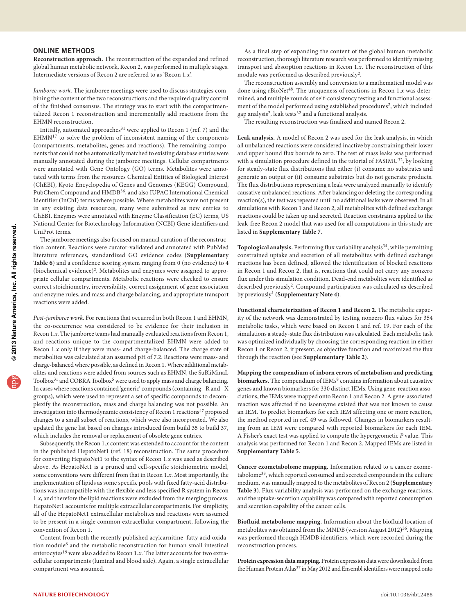#### ONLINE METHODS

**Reconstruction approach.** The reconstruction of the expanded and refined global human metabolic network, Recon 2, was performed in multiple stages. Intermediate versions of Recon 2 are referred to as 'Recon 1.*x*'.

*Jamboree work.* The jamboree meetings were used to discuss strategies combining the content of the two reconstructions and the required quality control of the finished consensus. The strategy was to start with the compartmentalized Recon 1 reconstruction and incrementally add reactions from the EHMN reconstruction.

Initially, automated approaches<sup>31</sup> were applied to Recon 1 (ref. 7) and the  $E$ HMN<sup>17</sup> to solve the problem of inconsistent naming of the components (compartments, metabolites, genes and reactions). The remaining components that could not be automatically matched to existing database entries were manually annotated during the jamboree meetings. Cellular compartments were annotated with Gene Ontology (GO) terms. Metabolites were annotated with terms from the resources Chemical Entities of Biological Interest (ChEBI), Kyoto Encyclopedia of Genes and Genomes (KEGG) Compound, PubChem Compound and HMDB36, and also IUPAC International Chemical Identifier (InChI) terms where possible. Where metabolites were not present in any existing data resources, many were submitted as new entries to ChEBI. Enzymes were annotated with Enzyme Classification (EC) terms, US National Center for Biotechnology Information (NCBI) Gene identifiers and UniProt terms.

The jamboree meetings also focused on manual curation of the reconstruction content. Reactions were curator-validated and annotated with PubMed literature references, standardized GO evidence codes (**Supplementary Table 6**) and a confidence scoring system ranging from 0 (no evidence) to 4 (biochemical evidence)<sup>2</sup> . Metabolites and enzymes were assigned to appropriate cellular compartments. Metabolic reactions were checked to ensure correct stoichiometry, irreversibility, correct assignment of gene association and enzyme rules, and mass and charge balancing, and appropriate transport reactions were added.

*Post-jamboree work.* For reactions that occurred in both Recon 1 and EHMN, the co-occurrence was considered to be evidence for their inclusion in Recon 1.*x*. The jamboree teams had manually evaluated reactions from Recon 1, and reactions unique to the compartmentalized EHMN were added to Recon 1.*x* only if they were mass- and charge-balanced. The charge state of metabolites was calculated at an assumed pH of 7.2. Reactions were mass- and charge-balanced where possible, as defined in Recon 1. Where additional metabolites and reactions were added from sources such as EHMN, the SuBliMinaL Toolbox<sup>31</sup> and COBRA Toolbox<sup>5</sup> were used to apply mass and charge balancing. In cases where reactions contained 'generic' compounds (containing –R and –X groups), which were used to represent a set of specific compounds to decomplexify the reconstruction, mass and charge balancing was not possible. An investigation into thermodynamic consistency of Recon 1 reactions  $\!47$  proposed changes to a small subset of reactions, which were also incorporated. We also updated the gene list based on changes introduced from build 35 to build 37, which includes the removal or replacement of obsolete gene entries.

Subsequently, the Recon 1.*x* content was extended to account for the content in the published HepatoNet1 (ref. 18) reconstruction. The same procedure for converting HepatoNet1 to the syntax of Recon 1.*x* was used as described above. As HepatoNet1 is a pruned and cell-specific stoichiometric model, some conventions were different from that in Recon 1.*x*. Most importantly, the implementation of lipids as some specific pools with fixed fatty-acid distributions was incompatible with the flexible and less specified R system in Recon 1.*x*, and therefore the lipid reactions were excluded from the merging process. HepatoNet1 accounts for multiple extracellular compartments. For simplicity, all of the HepatoNet1 extracellular metabolites and reactions were assumed to be present in a single common extracellular compartment, following the convention of Recon 1.

Content from both the recently published acylcarnitine–fatty acid oxidation module<sup>8</sup> and the metabolic reconstruction for human small intestinal enterocytes<sup>19</sup> were also added to Recon 1.x. The latter accounts for two extracellular compartments (luminal and blood side). Again, a single extracellular compartment was assumed.

As a final step of expanding the content of the global human metabolic reconstruction, thorough literature research was performed to identify missing transport and absorption reactions in Recon 1.*x*. The reconstruction of this module was performed as described previously<sup>2</sup>.

The reconstruction assembly and conversion to a mathematical model was done using rBioNet<sup>48</sup>. The uniqueness of reactions in Recon 1.*x* was determined, and multiple rounds of self-consistency testing and functional assessment of the model performed using established procedures 2 , which included gap analysis<sup>2</sup>, leak tests<sup>32</sup> and a functional analysis.

The resulting reconstruction was finalized and named Recon 2.

**Leak analysis.** A model of Recon 2 was used for the leak analysis, in which all unbalanced reactions were considered inactive by constraining their lower and upper bound flux bounds to zero. The test of mass leaks was performed with a simulation procedure defined in the tutorial of FASIMU<sup>32</sup>, by looking for steady-state flux distributions that either (i) consume no substrates and generate an output or (ii) consume substrates but do not generate products. The flux distributions representing a leak were analyzed manually to identify causative unbalanced reactions. After balancing or deleting the corresponding reaction(s), the test was repeated until no additional leaks were observed. In all simulations with Recon 1 and Recon 2, all metabolites with defined exchange reactions could be taken up and secreted. Reaction constraints applied to the leak-free Recon 2 model that was used for all computations in this study are listed in **Supplementary Table 7**.

Topological analysis. Performing flux variability analysis<sup>34</sup>, while permitting constrained uptake and secretion of all metabolites with defined exchange reactions has been defined, allowed the identification of blocked reactions in Recon 1 and Recon 2, that is, reactions that could not carry any nonzero flux under this simulation condition. Dead-end metabolites were identified as described previously<sup>2</sup>. Compound participation was calculated as described by previously<sup>1</sup> (**Supplementary Note 4**).

**Functional characterization of Recon 1 and Recon 2.** The metabolic capacity of the network was demonstrated by testing nonzero flux values for 354 metabolic tasks, which were based on Recon 1 and ref. 19. For each of the simulations a steady-state flux distribution was calculated. Each metabolic task was optimized individually by choosing the corresponding reaction in either Recon 1 or Recon 2, if present, as objective function and maximized the flux through the reaction (see **Supplementary Table 2**).

**Mapping the compendium of inborn errors of metabolism and predicting**  biomarkers. The compendium of IEMs<sup>8</sup> contains information about causative genes and known biomarkers for 330 distinct IEMs. Using gene-reaction associations, the IEMs were mapped onto Recon 1 and Recon 2. A gene-associated reaction was affected if no isoenzyme existed that was not known to cause an IEM. To predict biomarkers for each IEM affecting one or more reaction, the method reported in ref. 49 was followed. Changes in biomarkers resulting from an IEM were compared with reported biomarkers for each IEM. A Fisher's exact test was applied to compute the hypergeometic *P* value. This analysis was performed for Recon 1 and Recon 2. Mapped IEMs are listed in **Supplementary Table 5**.

**Cancer exometabolome mapping.** Information related to a cancer exometabolome<sup>33</sup>, which reported consumed and secreted compounds in the culture medium, was manually mapped to the metabolites of Recon 2 (**Supplementary Table 3**). Flux variability analysis was performed on the exchange reactions, and the uptake-secretion capability was compared with reported consumption and secretion capability of the cancer cells.

**Biofluid metabolome mapping.** Information about the biofluid location of metabolites was obtained from the MNDB (version August 2012)<sup>36</sup>. Mapping was performed through HMDB identifiers, which were recorded during the reconstruction process.

**Protein expression data mapping.** Protein expression data were downloaded from the Human Protein Atlas<sup>37</sup> in May 2012 and Ensembl identifiers were mapped onto